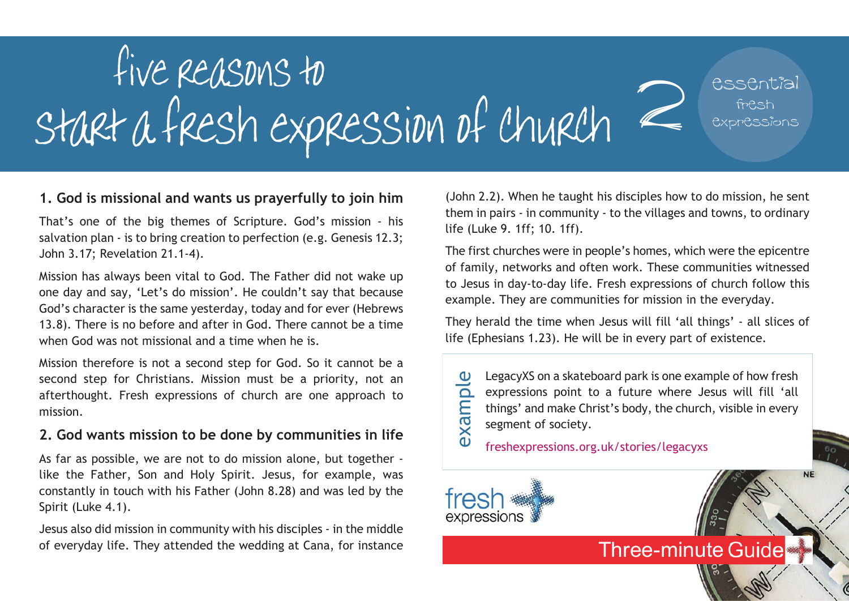

### **1. God is missional and wants us prayerfully to join him**

That's one of the big themes of Scripture. God's mission - his salvation plan - is to bring creation to perfection (e.g. Genesis 12.3; John 3.17; Revelation 21.1-4).

Mission has always been vital to God. The Father did not wake up one day and say, 'Let's do mission'. He couldn't say that because God's character is the same yesterday, today and for ever (Hebrews 13.8). There is no before and after in God. There cannot be a time when God was not missional and a time when he is.

Mission therefore is not a second step for God. So it cannot be a second step for Christians. Mission must be a priority, not an afterthought. Fresh expressions of church are one approach to mission.

### **2. God wants mission to be done by communities in life**

As far as possible, we are not to do mission alone, but together like the Father, Son and Holy Spirit. Jesus, for example, was constantly in touch with his Father (John 8.28) and was led by the Spirit (Luke 4.1).

Jesus also did mission in community with his disciples - in the middle of everyday life. They attended the wedding at Cana, for instance

(John 2.2). When he taught his disciples how to do mission, he sent them in pairs - in community - to the villages and towns, to ordinary life (Luke 9. 1ff; 10. 1ff).

The first churches were in people's homes, which were the epicentre of family, networks and often work. These communities witnessed to Jesus in day-to-day life. Fresh expressions of church follow this example. They are communities for mission in the everyday.

They herald the time when Jesus will fill 'all things' - all slices of life (Ephesians 1.23). He will be in every part of existence.

LegacyXS on a skateboard park is one example of how fresh expressions point to a future where Jesus will fill 'all things' and make Christ's body, the church, visible in every segment of society. example

**Three-minute Guide** 

freshexpressions.org.uk/stories/legacyxs